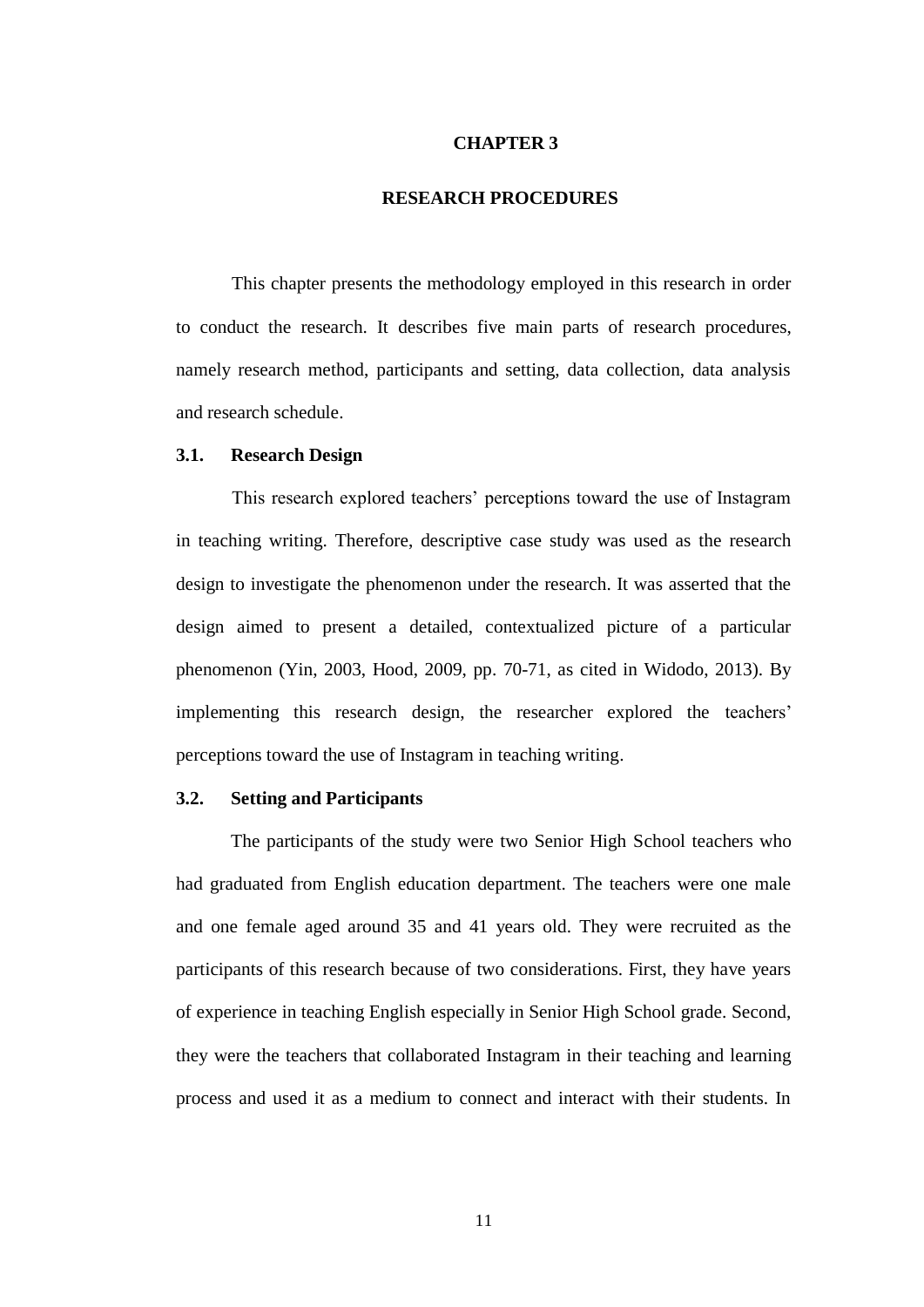## **CHAPTER 3**

# **RESEARCH PROCEDURES**

This chapter presents the methodology employed in this research in order to conduct the research. It describes five main parts of research procedures, namely research method, participants and setting, data collection, data analysis and research schedule.

# **3.1. Research Design**

This research explored teachers' perceptions toward the use of Instagram in teaching writing. Therefore, descriptive case study was used as the research design to investigate the phenomenon under the research. It was asserted that the design aimed to present a detailed, contextualized picture of a particular phenomenon (Yin, 2003, Hood, 2009, pp. 70-71, as cited in Widodo, 2013). By implementing this research design, the researcher explored the teachers' perceptions toward the use of Instagram in teaching writing.

### **3.2. Setting and Participants**

The participants of the study were two Senior High School teachers who had graduated from English education department. The teachers were one male and one female aged around 35 and 41 years old. They were recruited as the participants of this research because of two considerations. First, they have years of experience in teaching English especially in Senior High School grade. Second, they were the teachers that collaborated Instagram in their teaching and learning process and used it as a medium to connect and interact with their students. In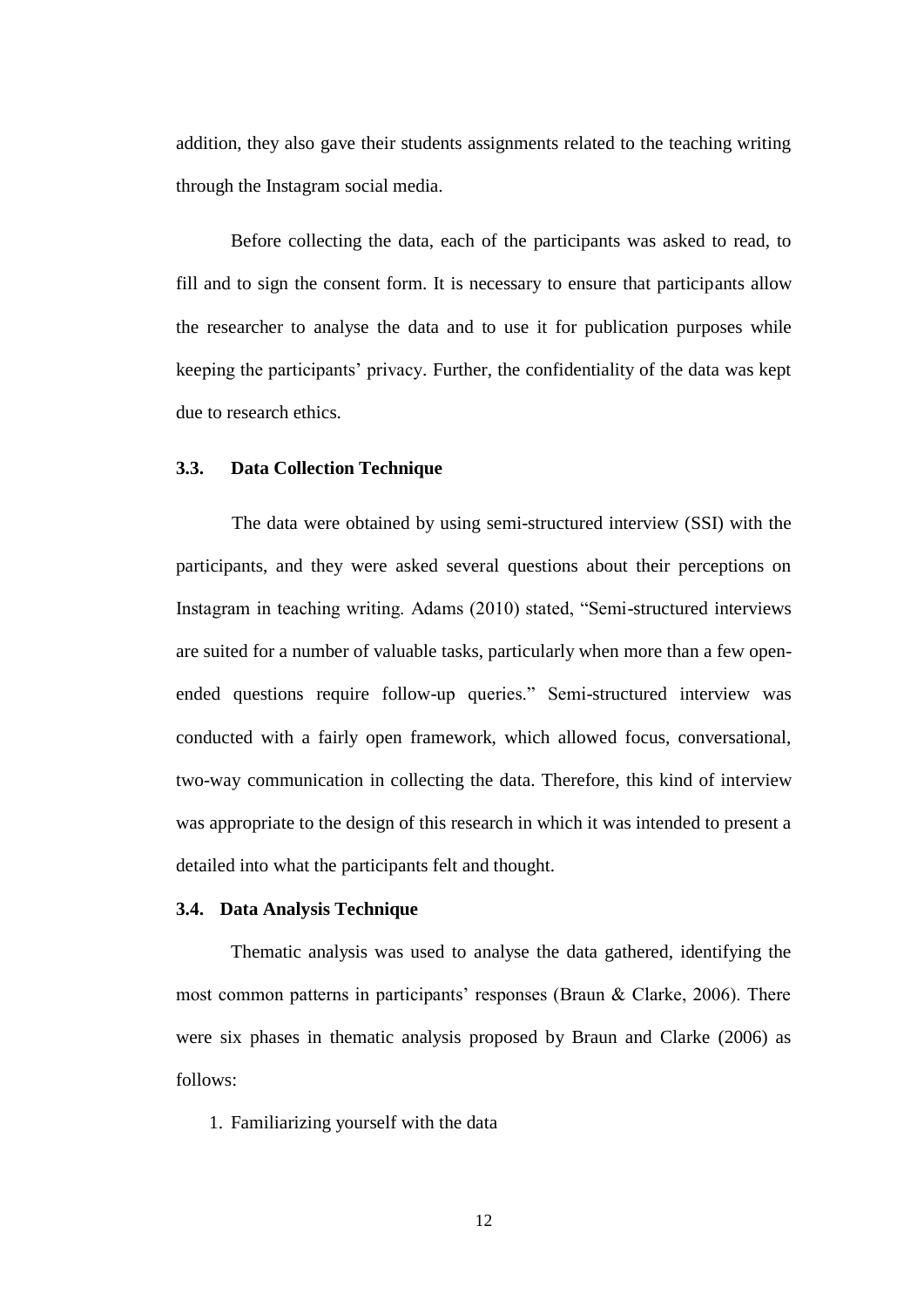addition, they also gave their students assignments related to the teaching writing through the Instagram social media.

Before collecting the data, each of the participants was asked to read, to fill and to sign the consent form. It is necessary to ensure that participants allow the researcher to analyse the data and to use it for publication purposes while keeping the participants' privacy. Further, the confidentiality of the data was kept due to research ethics.

# **3.3. Data Collection Technique**

The data were obtained by using semi-structured interview (SSI) with the participants, and they were asked several questions about their perceptions on Instagram in teaching writing. Adams (2010) stated, "Semi-structured interviews are suited for a number of valuable tasks, particularly when more than a few openended questions require follow-up queries." Semi-structured interview was conducted with a fairly open framework, which allowed focus, conversational, two-way communication in collecting the data. Therefore, this kind of interview was appropriate to the design of this research in which it was intended to present a detailed into what the participants felt and thought.

## **3.4. Data Analysis Technique**

Thematic analysis was used to analyse the data gathered, identifying the most common patterns in participants' responses (Braun & Clarke, 2006). There were six phases in thematic analysis proposed by Braun and Clarke (2006) as follows:

1. Familiarizing yourself with the data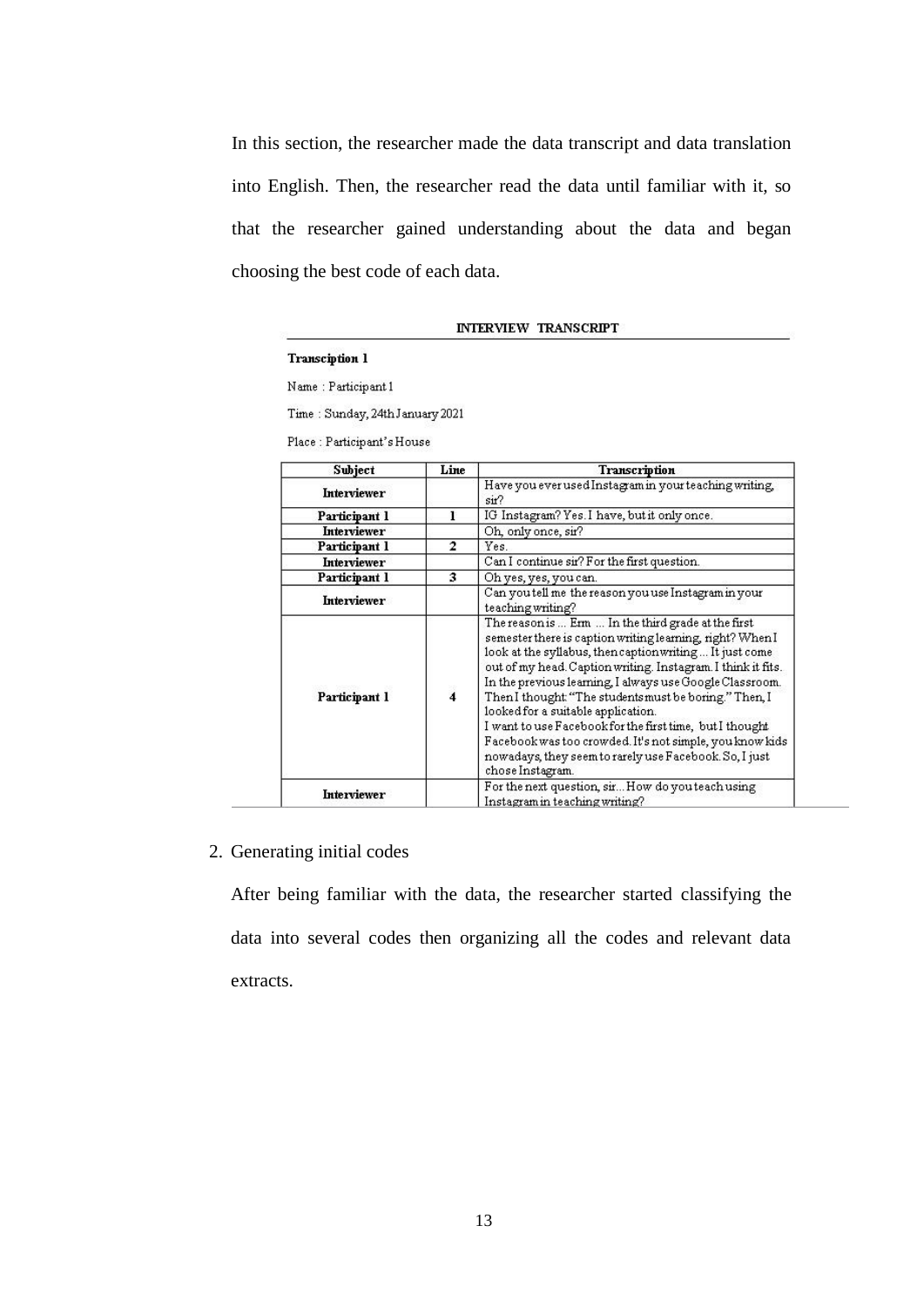In this section, the researcher made the data transcript and data translation into English. Then, the researcher read the data until familiar with it, so that the researcher gained understanding about the data and began choosing the best code of each data.

#### **INTERVIEW TRANSCRIPT**

#### Transciption 1

Name: Participant 1

Time: Sunday, 24th January 2021

Place: Participant's House

| Subject            | Line           | Transcription                                                                                                                                                                                                                                                                                                                                                                                                                                                                                                                                                                                                |  |
|--------------------|----------------|--------------------------------------------------------------------------------------------------------------------------------------------------------------------------------------------------------------------------------------------------------------------------------------------------------------------------------------------------------------------------------------------------------------------------------------------------------------------------------------------------------------------------------------------------------------------------------------------------------------|--|
| <b>Interviewer</b> |                | Have you ever used Instagram in your teaching writing,<br>sit?                                                                                                                                                                                                                                                                                                                                                                                                                                                                                                                                               |  |
| Participant 1      | 1              | IG Instagram? Yes. I have, but it only once.                                                                                                                                                                                                                                                                                                                                                                                                                                                                                                                                                                 |  |
| <b>Interviewer</b> |                | Oh, only once, sir?                                                                                                                                                                                                                                                                                                                                                                                                                                                                                                                                                                                          |  |
| Participant 1      | 2              | Yes.                                                                                                                                                                                                                                                                                                                                                                                                                                                                                                                                                                                                         |  |
| <b>Interviewer</b> |                | Can I continue sir? For the first question.                                                                                                                                                                                                                                                                                                                                                                                                                                                                                                                                                                  |  |
| Participant 1      | з              | Oh yes, yes, you can.<br>Can you tell me the reason you use Instagram in your<br>teaching writing?                                                                                                                                                                                                                                                                                                                                                                                                                                                                                                           |  |
| Interviewer        |                |                                                                                                                                                                                                                                                                                                                                                                                                                                                                                                                                                                                                              |  |
| Participant 1      | $\overline{4}$ | The reason is  Erm  In the third grade at the first<br>semester there is caption writing learning, right? When I<br>look at the syllabus, then caption writing It just come<br>out of my head. Caption writing. Instagram. I think it fits.<br>In the previous learning, I always use Google Classroom.<br>Then I thought "The students must be boring." Then, I<br>looked for a suitable application.<br>I want to use Facebook for the first time, but I thought<br>Facebook was too crowded. It's not simple, you know kids<br>nowadays, they seem to rarely use Facebook. So, I just<br>chose Instagram. |  |
| <b>Interviewer</b> |                | For the next question, sir How do you teach using<br>Instagram in teaching writing?                                                                                                                                                                                                                                                                                                                                                                                                                                                                                                                          |  |

# 2. Generating initial codes

After being familiar with the data, the researcher started classifying the data into several codes then organizing all the codes and relevant data extracts.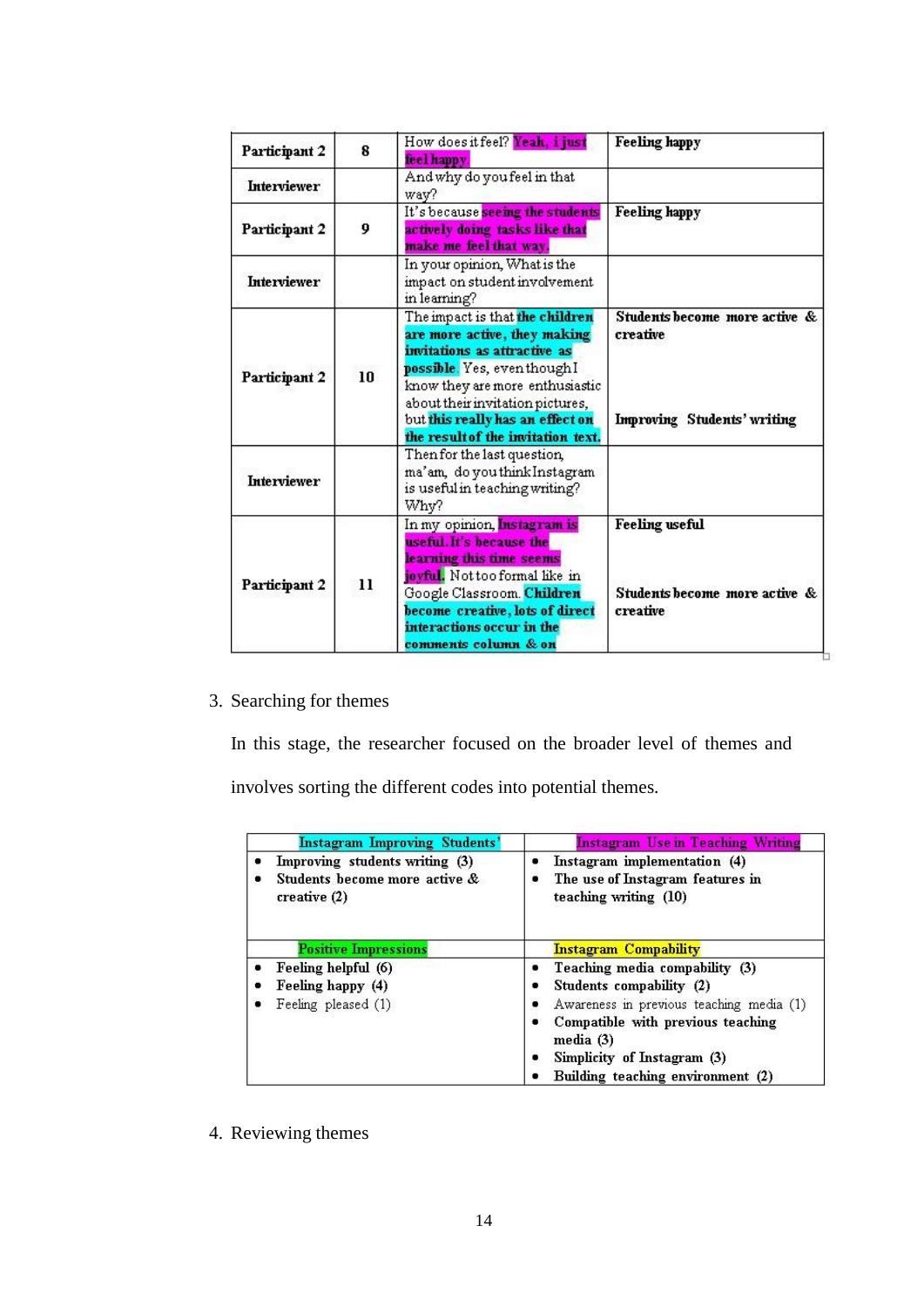| Participant 2       | 8  | How does it feel? Yeah, i just<br>feel happy                                                                                                                                                                                                                                     | <b>Feeling happy</b>                                                     |  |  |
|---------------------|----|----------------------------------------------------------------------------------------------------------------------------------------------------------------------------------------------------------------------------------------------------------------------------------|--------------------------------------------------------------------------|--|--|
| <b>Interviewer</b>  |    | And why do you feel in that<br>way?                                                                                                                                                                                                                                              |                                                                          |  |  |
| 9<br>Participant 2  |    | It's because seeing the students<br>actively doing tasks like that<br>make me feel that way.                                                                                                                                                                                     | <b>Feeling happy</b>                                                     |  |  |
| <b>Interviewer</b>  |    | In your opinion, What is the<br>impact on student involvement<br>in learning?                                                                                                                                                                                                    |                                                                          |  |  |
| 10<br>Participant 2 |    | The impact is that the children<br>are more active, they making<br>invitations as attractive as<br>possible. Yes, even though I<br>know they are more enthusiastic<br>about their invitation pictures,<br>but this really has an effect on<br>the result of the invitation text. | Students become more active &<br>creative<br>Improving Students' writing |  |  |
| Interviewer         |    | Then for the last question,<br>ma'am, do you think Instagram<br>is useful in teaching writing?<br>Whv?                                                                                                                                                                           |                                                                          |  |  |
| Participant 2       | 11 | In my opinion, Instagram is<br>useful. It's because the<br>learning this time seems<br>joyful. Not too formal like in<br>Google Classroom. Children<br>become creative, lots of direct<br>interactions occur in the<br>comments column & on                                      | <b>Feeling</b> useful<br>Students become more active &<br>creative       |  |  |

# 3. Searching for themes

In this stage, the researcher focused on the broader level of themes and involves sorting the different codes into potential themes.

| <b>Instagram Improving Students'</b>                                              | <b>Instagram Use in Teaching Writing</b>                                                  |
|-----------------------------------------------------------------------------------|-------------------------------------------------------------------------------------------|
| Improving students writing (3)<br>Students become more active &<br>createative(2) | Instagram implementation (4)<br>The use of Instagram features in<br>teaching writing (10) |
| <b>Positive Impressions</b>                                                       | <b>Instagram Compability</b>                                                              |
| Feeling helpful (6)                                                               | Teaching media compability (3)                                                            |
| Feeling happy (4)                                                                 | Students compability (2)                                                                  |
| Feeling pleased (1)                                                               | Awareness in previous teaching media (1)                                                  |
|                                                                                   | Compatible with previous teaching<br>media (3)                                            |
|                                                                                   | Simplicity of Instagram (3)                                                               |
|                                                                                   | Building teaching environment (2)                                                         |

4. Reviewing themes